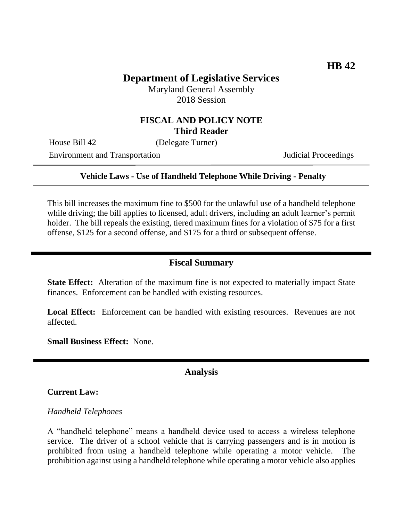# **Department of Legislative Services**

Maryland General Assembly 2018 Session

## **FISCAL AND POLICY NOTE Third Reader**

House Bill 42 (Delegate Turner)

Environment and Transportation Judicial Proceedings

### **Vehicle Laws - Use of Handheld Telephone While Driving - Penalty**

This bill increases the maximum fine to \$500 for the unlawful use of a handheld telephone while driving; the bill applies to licensed, adult drivers, including an adult learner's permit holder. The bill repeals the existing, tiered maximum fines for a violation of \$75 for a first offense, \$125 for a second offense, and \$175 for a third or subsequent offense.

## **Fiscal Summary**

**State Effect:** Alteration of the maximum fine is not expected to materially impact State finances. Enforcement can be handled with existing resources.

Local Effect: Enforcement can be handled with existing resources. Revenues are not affected.

**Small Business Effect:** None.

### **Analysis**

#### **Current Law:**

#### *Handheld Telephones*

A "handheld telephone" means a handheld device used to access a wireless telephone service. The driver of a school vehicle that is carrying passengers and is in motion is prohibited from using a handheld telephone while operating a motor vehicle. The prohibition against using a handheld telephone while operating a motor vehicle also applies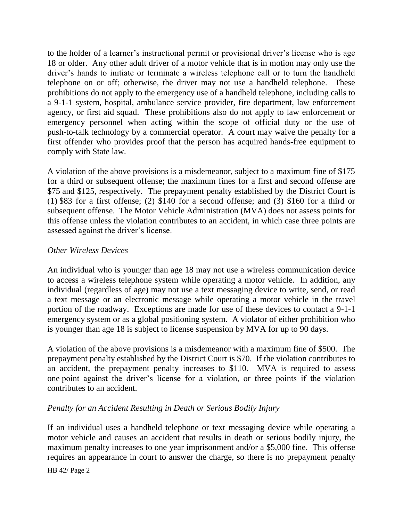to the holder of a learner's instructional permit or provisional driver's license who is age 18 or older. Any other adult driver of a motor vehicle that is in motion may only use the driver's hands to initiate or terminate a wireless telephone call or to turn the handheld telephone on or off; otherwise, the driver may not use a handheld telephone. These prohibitions do not apply to the emergency use of a handheld telephone, including calls to a 9-1-1 system, hospital, ambulance service provider, fire department, law enforcement agency, or first aid squad. These prohibitions also do not apply to law enforcement or emergency personnel when acting within the scope of official duty or the use of push-to-talk technology by a commercial operator. A court may waive the penalty for a first offender who provides proof that the person has acquired hands-free equipment to comply with State law.

A violation of the above provisions is a misdemeanor, subject to a maximum fine of \$175 for a third or subsequent offense; the maximum fines for a first and second offense are \$75 and \$125, respectively. The prepayment penalty established by the District Court is (1) \$83 for a first offense; (2) \$140 for a second offense; and (3) \$160 for a third or subsequent offense. The Motor Vehicle Administration (MVA) does not assess points for this offense unless the violation contributes to an accident, in which case three points are assessed against the driver's license.

### *Other Wireless Devices*

An individual who is younger than age 18 may not use a wireless communication device to access a wireless telephone system while operating a motor vehicle. In addition, any individual (regardless of age) may not use a text messaging device to write, send, or read a text message or an electronic message while operating a motor vehicle in the travel portion of the roadway. Exceptions are made for use of these devices to contact a 9-1-1 emergency system or as a global positioning system. A violator of either prohibition who is younger than age 18 is subject to license suspension by MVA for up to 90 days.

A violation of the above provisions is a misdemeanor with a maximum fine of \$500. The prepayment penalty established by the District Court is \$70. If the violation contributes to an accident, the prepayment penalty increases to \$110. MVA is required to assess one point against the driver's license for a violation, or three points if the violation contributes to an accident.

## *Penalty for an Accident Resulting in Death or Serious Bodily Injury*

If an individual uses a handheld telephone or text messaging device while operating a motor vehicle and causes an accident that results in death or serious bodily injury, the maximum penalty increases to one year imprisonment and/or a \$5,000 fine. This offense requires an appearance in court to answer the charge, so there is no prepayment penalty

HB 42/ Page 2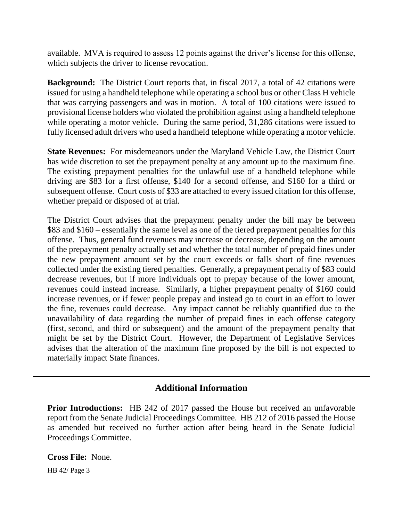available. MVA is required to assess 12 points against the driver's license for this offense, which subjects the driver to license revocation.

**Background:** The District Court reports that, in fiscal 2017, a total of 42 citations were issued for using a handheld telephone while operating a school bus or other Class H vehicle that was carrying passengers and was in motion. A total of 100 citations were issued to provisional license holders who violated the prohibition against using a handheld telephone while operating a motor vehicle. During the same period, 31,286 citations were issued to fully licensed adult drivers who used a handheld telephone while operating a motor vehicle.

**State Revenues:** For misdemeanors under the Maryland Vehicle Law, the District Court has wide discretion to set the prepayment penalty at any amount up to the maximum fine. The existing prepayment penalties for the unlawful use of a handheld telephone while driving are \$83 for a first offense, \$140 for a second offense, and \$160 for a third or subsequent offense. Court costs of \$33 are attached to every issued citation for this offense, whether prepaid or disposed of at trial.

The District Court advises that the prepayment penalty under the bill may be between \$83 and \$160 – essentially the same level as one of the tiered prepayment penalties for this offense. Thus, general fund revenues may increase or decrease, depending on the amount of the prepayment penalty actually set and whether the total number of prepaid fines under the new prepayment amount set by the court exceeds or falls short of fine revenues collected under the existing tiered penalties. Generally, a prepayment penalty of \$83 could decrease revenues, but if more individuals opt to prepay because of the lower amount, revenues could instead increase. Similarly, a higher prepayment penalty of \$160 could increase revenues, or if fewer people prepay and instead go to court in an effort to lower the fine, revenues could decrease. Any impact cannot be reliably quantified due to the unavailability of data regarding the number of prepaid fines in each offense category (first, second, and third or subsequent) and the amount of the prepayment penalty that might be set by the District Court. However, the Department of Legislative Services advises that the alteration of the maximum fine proposed by the bill is not expected to materially impact State finances.

# **Additional Information**

**Prior Introductions:** HB 242 of 2017 passed the House but received an unfavorable report from the Senate Judicial Proceedings Committee. HB 212 of 2016 passed the House as amended but received no further action after being heard in the Senate Judicial Proceedings Committee.

HB 42/ Page 3 **Cross File:** None.